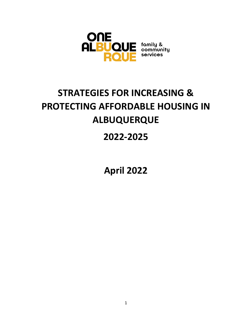

# **STRATEGIES FOR INCREASING & PROTECTING AFFORDABLE HOUSING IN ALBUQUERQUE**

## **2022-2025**

**April 2022**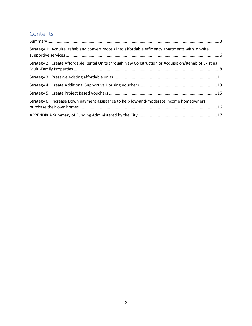## **Contents**

| Strategy 1: Acquire, rehab and convert motels into affordable efficiency apartments with on-site     |  |
|------------------------------------------------------------------------------------------------------|--|
| Strategy 2: Create Affordable Rental Units through New Construction or Acquisition/Rehab of Existing |  |
|                                                                                                      |  |
|                                                                                                      |  |
|                                                                                                      |  |
| Strategy 6: Increase Down payment assistance to help low-and-moderate income homeowners              |  |
|                                                                                                      |  |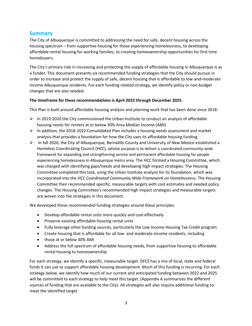### <span id="page-2-0"></span>**Summary**

The City of Albuquerque is committed to addressing the need for safe, decent housing across the housing spectrum – from supportive housing for those experiencing homelessness, to developing affordable rental housing for working families, to creating homeownership opportunities for first time homebuyers.

The City's primary role in increasing and protecting the supply of affordable housing in Albuquerque is as a funder. This document presents six recommended funding strategies that the City should pursue in order to increase and protect the supply of safe, decent housing that is affordable to low-and-moderate income Albuquerque residents. For each funding-related strategy, we identify policy or non-budget changes that are also needed.

#### **The timeframe for these recommendations is April 2022 through December 2025.**

This Plan is built around affordable housing analysis and planning work that has been done since 2018:

- $\triangleright$  In 2019-2020 the City commissioned the Urban Institute to conduct an analysis of affordable housing needs for renters at or below 30% Area Median Income (AMI).
- $\triangleright$  In addition, the 2018-2022 Consolidated Plan includes a housing needs assessment and market analysis that provides a foundation for how the City uses its affordable housing funding.
- ➢ In fall 2020, the City of Albuquerque, Bernalillo County and University of New Mexico established a Homeless Coordinating Council (HCC), whose purpose is to deliver a coordinated community-wide framework for expanding and strengthening service and permanent affordable housing for people experiencing homelessness in Albuquerque metro area. The HCC formed a Housing Committee, which was charged with identifying gaps/needs and developing high impact strategies. The Housing Committee completed this task, using the Urban Institute analysis for its foundation, which was incorporated into the *HCC Coordinated Community Wide Framework on Homelessness*. The Housing Committee then recommended specific, measurable targets with cost estimates and needed policy changes. The Housing Committee's recommended high impact strategies and measurable targets are woven into the strategies in this document.

We developed these recommended funding strategies around these principles:

- Develop affordable rental units more quickly and cost-effectively
- Preserve existing affordable housing rental units
- Fully leverage other funding sources, particularly the Low Income Housing Tax Credit program
- Create housing that is affordable for all low- and moderate-income residents, including
- those at or below 30% AMI
- Address the full spectrum of affordable housing needs, from supportive housing to affordable rental housing to homeownership

For each strategy, we identify a specific, measurable target. DFCS has a mix of local, state and federal funds it can use to support affordable housing development. Much of this funding is recurring. For each strategy below, we identify how much of our current and anticipated funding between 2022 and 2025 will be committed to each strategy to help meet this target. (Appendix A summarizes the different sources of funding that are available to the City). All strategies will also require additional funding to meet the identified target.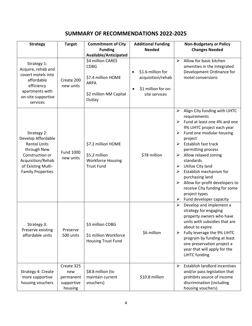## **SUMMARY OF RECOMMENDATIONS 2022-2025**

| <b>Strategy</b>                                                                                                                                                   | <b>Target</b>                                           | <b>Commitment of City</b><br><b>Funding</b>                                                                                        | <b>Additional Funding</b><br><b>Needed</b>                                     | <b>Non-Budgetary or Policy</b><br><b>Changes Needed</b>                                                                                                                                                                                                                                                                                                                                                                                                                             |
|-------------------------------------------------------------------------------------------------------------------------------------------------------------------|---------------------------------------------------------|------------------------------------------------------------------------------------------------------------------------------------|--------------------------------------------------------------------------------|-------------------------------------------------------------------------------------------------------------------------------------------------------------------------------------------------------------------------------------------------------------------------------------------------------------------------------------------------------------------------------------------------------------------------------------------------------------------------------------|
| Strategy 1:<br>Acquire, rehab and<br>covert motels into<br>affordable<br>efficiency<br>apartments with<br>on-site supportive<br>services                          | Create 200<br>new units                                 | Available/Anticipated<br>\$4 million CARES<br><b>CDBG</b><br>\$7.4 million HOME<br><b>ARPA</b><br>\$2 million NM Capital<br>Outlay | \$1.6 million for<br>acquisition/rehab<br>\$1 million for on-<br>site services | Allow for basic kitchen<br>$\blacktriangleright$<br>amenities in the Integrated<br>Development Ordinance for<br>motel conversions                                                                                                                                                                                                                                                                                                                                                   |
| Strategy 2:<br>Develop Affordable<br><b>Rental Units</b><br>through New<br>Construction or<br>Acquisition/Rehab<br>of Existing Multi-<br><b>Family Properties</b> | Fund 1000<br>new units                                  | \$7.2 million HOME<br>\$5.2 million<br><b>Workforce Housing</b><br><b>Trust Fund</b>                                               | \$78 million                                                                   | Align City funding with LIHTC<br>➤<br>requirements<br>Fund at least one 4% and one<br>➤<br>9% LIHTC project each year<br>Fund one modular housing<br>➤<br>project<br>Establish fast track<br>➤<br>permitting process<br>Allow relaxed zoning<br>➤<br>standards<br>Utilize City land<br>➤<br>Establish mechanism for<br>purchasing land<br>Allow for-profit developers to<br>$\blacktriangleright$<br>receive City funding for some<br>project types<br>Fund developer capacity<br>➤ |
| Strategy 3:<br>Preserve existing<br>affordable units                                                                                                              | Preserve<br>500 units                                   | \$3 million CDBG<br>\$1 million Workforce<br><b>Housing Trust Fund</b>                                                             | \$6 million                                                                    | $\blacktriangleright$<br>Develop and implement a<br>strategy for engaging<br>property owners who have<br>units with subsidies that are<br>about to expire<br>Fully leverage the 9% LIHTC<br>➤<br>program by funding at least<br>one preservation project a<br>year that will apply for the<br><b>LIHTC</b> funding                                                                                                                                                                  |
| Strategy 4: Create<br>more supportive<br>housing vouchers                                                                                                         | Create 325<br>new<br>permanent<br>supportive<br>housing | \$8.8 million (to<br>maintain current<br>vouchers)                                                                                 | \$10.8 million                                                                 | Establish landlord incentives<br>≻<br>and/or pass legislation that<br>prohibits source of income<br>discrimination (including<br>housing vouchers)                                                                                                                                                                                                                                                                                                                                  |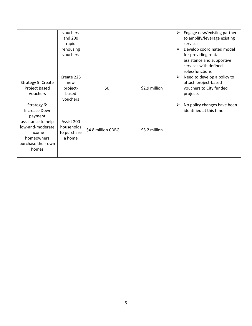|                                                                                                                                          | vouchers<br>and 200<br>rapid<br>rehousing<br>vouchers |                    |               | ➤<br>➤                | Engage new/existing partners<br>to amplify/leverage existing<br>services<br>Develop coordinated model<br>for providing rental<br>assistance and supportive<br>services with defined<br>roles/functions |
|------------------------------------------------------------------------------------------------------------------------------------------|-------------------------------------------------------|--------------------|---------------|-----------------------|--------------------------------------------------------------------------------------------------------------------------------------------------------------------------------------------------------|
| Strategy 5: Create<br>Project Based<br>Vouchers                                                                                          | Create 225<br>new<br>project-<br>based<br>vouchers    | \$0                | \$2.9 million | $\blacktriangleright$ | Need to develop a policy to<br>attach project-based<br>vouchers to City funded<br>projects                                                                                                             |
| Strategy 6:<br>Increase Down<br>payment<br>assistance to help<br>low-and-moderate<br>income<br>homeowners<br>purchase their own<br>homes | Assist 200<br>households<br>to purchase<br>a home     | \$4.8 million CDBG | \$3.2 million | ➤                     | No policy changes have been<br>identified at this time                                                                                                                                                 |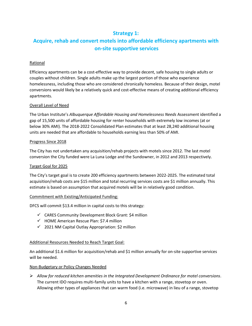## **Strategy 1:**

## <span id="page-5-0"></span>**Acquire, rehab and convert motels into affordable efficiency apartments with on-site supportive services**

#### Rational

Efficiency apartments can be a cost-effective way to provide decent, safe housing to single adults or couples without children. Single adults make up the largest portion of those who experience homelessness, including those who are considered chronically homeless. Because of their design, motel conversions would likely be a relatively quick and cost-effective means of creating additional efficiency apartments.

#### Overall Level of Need

The Urban Institute's *Albuquerque Affordable Housing and Homelessness Needs* Assessment identified a gap of 15,500 units of affordable housing for renter households with extremely low incomes (at or below 30% AMI). The 2018-2022 Consolidated Plan estimates that at least 28,240 additional housing units are needed that are affordable to households earning less than 50% of AMI.

#### Progress Since 2018

The City has not undertaken any acquisition/rehab projects with motels since 2012. The last motel conversion the City funded were La Luna Lodge and the Sundowner, in 2012 and 2013 respectively.

#### Target Goal for 2025

The City's target goal is to create 200 efficiency apartments between 2022-2025. The estimated total acquisition/rehab costs are \$15 million and total recurring services costs are \$1 million annually. This estimate is based on assumption that acquired motels will be in relatively good condition.

#### Commitment with Existing/Anticipated Funding:

DFCS will commit \$13.4 million in capital costs to this strategy:

- ✓ CARES Community Development Block Grant: \$4 million
- $\checkmark$  HOME American Rescue Plan: \$7.4 million
- $\checkmark$  2021 NM Capital Outlay Appropriation: \$2 million

#### Additional Resources Needed to Reach Target Goal:

An additional \$1.6 million for acquisition/rehab and \$1 million annually for on-site supportive services will be needed.

#### Non-Budgetary or Policy Changes Needed

➢ *Allow for reduced kitchen amenities in the Integrated Development Ordinance for motel conversions*. The current IDO requires multi-family units to have a kitchen with a range, stovetop or oven. Allowing other types of appliances that can warm food (i.e. microwave) in lieu of a range, stovetop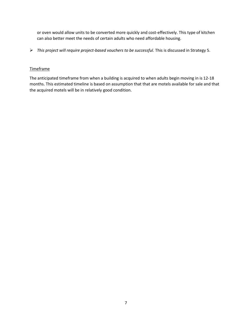or oven would allow units to be converted more quickly and cost-effectively. This type of kitchen can also better meet the needs of certain adults who need affordable housing.

➢ *This project will require project-based vouchers to be successful.* This is discussed in Strategy 5.

#### Timeframe

The anticipated timeframe from when a building is acquired to when adults begin moving in is 12-18 months. This estimated timeline is based on assumption that that are motels available for sale and that the acquired motels will be in relatively good condition.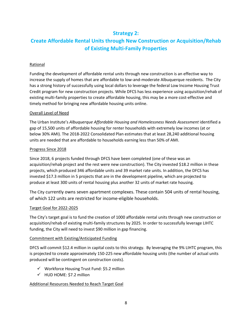## **Strategy 2:**

## <span id="page-7-0"></span>**Create Affordable Rental Units through New Construction or Acquisition/Rehab of Existing Multi-Family Properties**

#### Rational

Funding the development of affordable rental units through new construction is an effective way to increase the supply of homes that are affordable to low-and-moderate Albuquerque residents. The City has a strong history of successfully using local dollars to leverage the federal Low Income Housing Trust Credit program for new construction projects. While DFCS has less experience using acquisition/rehab of existing multi-family properties to create affordable housing, this may be a more cost-effective and timely method for bringing new affordable housing units online.

#### Overall Level of Need

The Urban Institute's *Albuquerque Affordable Housing and Homelessness Needs Assessment* identified a gap of 15,500 units of affordable housing for renter households with extremely low incomes (at or below 30% AMI). The 2018-2022 Consolidated Plan estimates that at least 28,240 additional housing units are needed that are affordable to households earning less than 50% of AMI.

#### Progress Since 2018

Since 2018, 6 projects funded through DFCS have been completed (one of these was an acquisition/rehab project and the rest were new construction). The City invested \$18.2 million in these projects, which produced 346 affordable units and 39 market rate units. In addition, the DFCS has invested \$17.3 million in 5 projects that are in the development pipeline, which are projected to produce at least 300 units of rental housing plus another 32 units of market rate housing.

The City currently owns seven apartment complexes. These contain 504 units of rental housing, of which 122 units are restricted for income-eligible households.

#### Target Goal for 2022-2025

The City's target goal is to fund the creation of 1000 affordable rental units through new construction or acquisition/rehab of existing multi-family structures by 2025. In order to successfully leverage LIHTC funding, the City will need to invest \$90 million in gap financing.

#### Commitment with Existing/Anticipated Funding

DFCS will commit \$12.4 million in capital costs to this strategy. By leveraging the 9% LIHTC program, this is projected to create approximately 150-225 new affordable housing units (the number of actual units produced will be contingent on construction costs).

- ✓ Workforce Housing Trust Fund: \$5.2 million
- $\checkmark$  HUD HOME: \$7.2 million

#### Additional Resources Needed to Reach Target Goal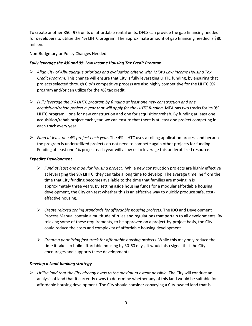To create another 850- 975 units of affordable rental units, DFCS can provide the gap financing needed for developers to utilize the 4% LIHTC program. The approximate amount of gap financing needed is \$80 million.

#### Non-Budgetary or Policy Changes Needed

#### *Fully leverage the 4% and 9% Low Income Housing Tax Credit Program*

- ➢ *Align City of Albuquerque priorities and evaluation criteria with MFA's Low Income Housing Tax Credit Program.* This change will ensure that City is fully leveraging LIHTC funding, by ensuring that projects selected through City's competitive process are also highly competitive for the LIHTC 9% program and/or can utilize for the 4% tax credit.
- ➢ *Fully leverage the 9% LIHTC program by funding at least one new construction and one acquisition/rehab project a year that will apply for the LIHTC funding.* MFA has two tracks for its 9% LIHTC program – one for new construction and one for acquisition/rehab. By funding at least one acquisition/rehab project each year, we can ensure that there is at least one project competing in each track every year.
- ➢ *Fund at least one 4% project each year.* The 4% LIHTC uses a rolling application process and because the program is underutilized projects do not need to compete again other projects for funding. Funding at least one 4% project each year will allow us to leverage this underutilized resource.

#### *Expedite Development*

- ➢ *Fund at least one modular housing project.* While new construction projects are highly effective at leveraging the 9% LIHTC, they can take a long time to develop. The average timeline from the time that City funding becomes available to the time that families are moving in is approximately three years. By setting aside housing funds for a modular affordable housing development, the City can test whether this is an effective way to quickly produce safe, costeffective housing.
- ➢ *Create relaxed zoning standards for affordable housing projects.* The IDO and Development Process Manual contain a multitude of rules and regulations that pertain to all developments. By relaxing some of these requirements, to be approved on a project-by-project basis, the City could reduce the costs and complexity of affordable housing development.
- ➢ *Create a permitting fast track for affordable housing projects*. While this may only reduce the time it takes to build affordable housing by 30-60 days, it would also signal that the City encourages and supports these developments.

#### *Develop a Land-banking strategy*

➢ *Utilize land that the City already owns to the maximum extent possible.* The City will conduct an analysis of land that it currently owns to determine whether any of this land would be suitable for affordable housing development. The City should consider conveying a City-owned land that is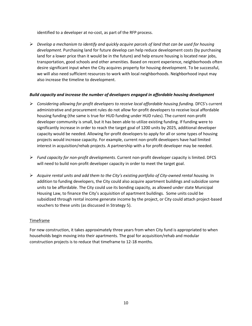identified to a developer at no-cost, as part of the RFP process.

➢ *Develop a mechanism to identify and quickly acquire parcels of land that can be used for housing development.* Purchasing land for future develop can help reduce development costs (by purchasing land for a lower price than it would be in the future) and help ensure housing is located near jobs, transportation, good schools and other amenities. Based on recent experience, neighborhoods often desire significant input when the City acquires property for housing development. To be successful, we will also need sufficient resources to work with local neighborhoods. Neighborhood input may also increase the timeline to development.

#### *Build capacity and increase the number of developers engaged in affordable housing development*

- ➢ *Considering allowing for-profit developers to receive local affordable housing funding.* DFCS's current administrative and procurement rules do not allow for-profit developers to receive local affordable housing funding (the same is true for HUD funding under HUD rules). The current non-profit developer community is small, but it has been able to utilize existing funding. If funding were to significantly increase in order to reach the target goal of 1200 units by 2025, additional developer capacity would be needed. Allowing for-profit developers to apply for all or some types of housing projects would increase capacity. For example, current non-profit developers have had limited interest in acquisition/rehab projects. A partnership with a for profit developer may be needed.
- ➢ *Fund capacity for non-profit developments.* Current non-profit developer capacity is limited. DFCS will need to build non-profit developer capacity in order to meet the target goal.
- ➢ *Acquire rental units and add them to the City's existing portfolio of City-owned rental housing*. In addition to funding developers, the City could also acquire apartment buildings and subsidize some units to be affordable. The City could use its bonding capacity, as allowed under state Municipal Housing Law, to finance the City's acquisition of apartment buildings. Some units could be subsidized through rental income generate income by the project, or City could attach project-based vouchers to these units (as discussed in Strategy 5).

#### Timeframe

For new construction, it takes approximately three years from when City fund is appropriated to when households begin moving into their apartments. The goal for acquisition/rehab and modular construction projects is to reduce that timeframe to 12-18 months.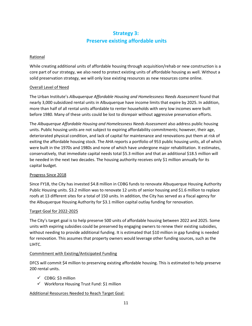## **Strategy 3: Preserve existing affordable units**

#### <span id="page-10-0"></span>Rational

While creating additional units of affordable housing through acquisition/rehab or new construction is a core part of our strategy, we also need to protect existing units of affordable housing as well. Without a solid preservation strategy, we will only lose existing resources as new resources come online.

#### Overall Level of Need

The Urban Institute's *Albuquerque Affordable Housing and Homelessness Needs Assessment* found that nearly 3,000 subsidized rental units in Albuquerque have income limits that expire by 2025. In addition, more than half of all rental units affordable to renter households with very low incomes were built before 1980. Many of these units could be lost to disrepair without aggressive preservation efforts.

The *Albuquerque Affordable Housing and Homelessness Needs Assessment* also address public housing units. Public housing units are not subject to expiring affordability commitments; however, their age, deteriorated physical condition, and lack of capital for maintenance and renovations put them at risk of exiting the affordable housing stock. The AHA reports a portfolio of 953 public housing units, all of which were built in the 1970s and 1980s and none of which have undergone major rehabilitation. It estimates, conservatively, that immediate capital needs total \$5.3 million and that an additional \$18.5 million will be needed in the next two decades. The housing authority receives only \$1 million annually for its capital budget.

#### Progress Since 2018

Since FY18, the City has invested \$4.8 million in CDBG funds to renovate Albuquerque Housing Authority Public Housing units. \$3.2 million was to renovate 12 units of senior housing and \$1.6 million to replace roofs at 13 different sites for a total of 150 units. In addition, the City has served as a fiscal agency for the Albuquerque Housing Authority for \$3.1 million capital outlay funding for renovation.

#### Target Goal for 2022-2025

The City's target goal is to help preserve 500 units of affordable housing between 2022 and 2025. Some units with expiring subsidies could be preserved by engaging owners to renew their existing subsidies, without needing to provide additional funding. It is estimated that \$10 million in gap funding is needed for renovation. This assumes that property owners would leverage other funding sources, such as the LIHTC.

#### Commitment with Existing/Anticipated Funding

DFCS will commit \$4 million to preserving existing affordable housing. This is estimated to help preserve 200 rental units.

- ✓ CDBG: \$3 million
- ✓ Workforce Housing Trust Fund: \$1 million

#### Additional Resources Needed to Reach Target Goal: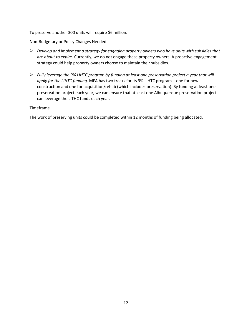To preserve another 300 units will require \$6 million.

#### Non-Budgetary or Policy Changes Needed

- ➢ *Develop and implement a strategy for engaging property owners who have units with subsidies that are about to expire.* Currently, we do not engage these property owners. A proactive engagement strategy could help property owners choose to maintain their subsidies.
- ➢ *Fully leverage the 9% LIHTC program by funding at least one preservation project a year that will apply for the LIHTC funding.* MFA has two tracks for its 9% LIHTC program – one for new construction and one for acquisition/rehab (which includes preservation). By funding at least one preservation project each year, we can ensure that at least one Albuquerque preservation project can leverage the LITHC funds each year.

#### Timeframe

The work of preserving units could be completed within 12 months of funding being allocated.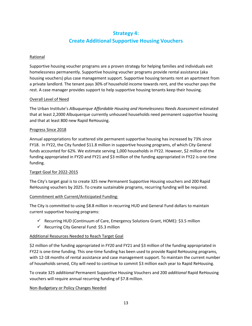## **Strategy 4: Create Additional Supportive Housing Vouchers**

#### <span id="page-12-0"></span>Rational

Supportive housing voucher programs are a proven strategy for helping families and individuals exit homelessness permanently. Supportive housing voucher programs provide rental assistance (aka housing vouchers) plus case management support. Supportive housing tenants rent an apartment from a private landlord. The tenant pays 30% of household income towards rent, and the voucher pays the rest. A case manager provides support to help supportive housing tenants keep their housing.

#### Overall Level of Need

The Urban Institute's *Albuquerque Affordable Housing and Homelessness Needs Assessment* estimated that at least 2,2000 Albuquerque currently unhoused households need permanent supportive housing and that at least 800 new Rapid ReHousing.

#### Progress Since 2018

Annual appropriations for scattered site permanent supportive housing has increased by 73% since FY18. In FY22, the City funded \$11.8 million in supportive housing programs, of which City General funds accounted for 62%. We estimate serving 1,000 households in FY22. However, \$2 million of the funding appropriated in FY20 and FY21 and \$3 million of the funding appropriated in FY22 is one-time funding.

#### Target Goal for 2022-2015

The City's target goal is to create 325 new Permanent Supportive Housing vouchers and 200 Rapid ReHousing vouchers by 2025. To create sustainable programs, recurring funding will be required.

#### Commitment with Current/Anticipated Funding:

The City is committed to using \$8.8 million in recurring HUD and General Fund dollars to maintain current supportive housing programs:

- ✓ Recurring HUD (Continuum of Care, Emergency Solutions Grant, HOME): \$3.5 million
- $\checkmark$  Recurring City General Fund: \$5.3 million

#### Additional Resources Needed to Reach Target Goal

\$2 million of the funding appropriated in FY20 and FY21 and \$3 million of the funding appropriated in FY22 is one-time funding. This one-time funding has been used to provide Rapid ReHousing programs, with 12-18 months of rental assistance and case management support. To maintain the current number of households served, City will need to continue to commit \$3 million each year to Rapid ReHousing.

To create 325 *additional* Permanent Supportive Housing Vouchers and 200 *additional* Rapid ReHousing vouchers will require annual recurring funding of \$7.8 million.

#### Non-Budgetary or Policy Changes Needed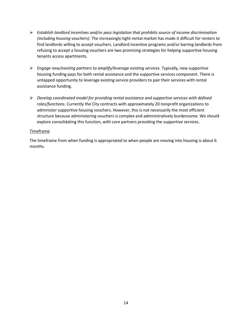- ➢ *Establish landlord incentives and/or pass legislation that prohibits source of income discrimination (including housing vouchers).* The increasingly tight rental market has made it difficult for renters to find landlords willing to accept vouchers. Landlord incentive programs and/or barring landlords from refusing to accept a housing vouchers are two promising strategies for helping supportive housing tenants access apartments.
- ➢ *Engage new/existing partners to amplify/leverage existing services.* Typically, new supportive housing funding pays for both rental assistance and the supportive services component. There is untapped opportunity to leverage existing service providers to pair their services with rental assistance funding.
- ➢ *Develop coordinated model for providing rental assistance and supportive services with defined roles/functions.* Currently the City contracts with approximately 20 nonprofit organizations to administer supportive housing vouchers. However, this is not necessarily the most efficient structure because administering vouchers is complex and administratively burdensome. We should explore consolidating this function, with core partners providing the supportive services.

#### Timeframe

The timeframe from when funding is appropriated to when people are moving into housing is about 6 months.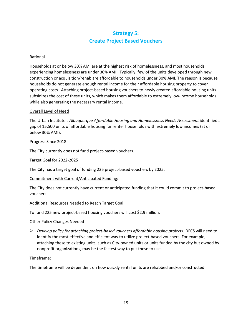## **Strategy 5: Create Project Based Vouchers**

#### <span id="page-14-0"></span>Rational

Households at or below 30% AMI are at the highest risk of homelessness, and most households experiencing homelessness are under 30% AMI. Typically, few of the units developed through new construction or acquisition/rehab are affordable to households under 30% AMI. The reason is because households do not generate enough rental income for their affordable housing property to cover operating costs. Attaching project-based housing vouchers to newly created affordable housing units subsidizes the cost of these units, which makes them affordable to extremely low-income households while also generating the necessary rental income.

#### Overall Level of Need

The Urban Institute's *Albuquerque Affordable Housing and Homelessness Needs Assessment* identified a gap of 15,500 units of affordable housing for renter households with extremely low incomes (at or below 30% AMI).

#### Progress Since 2018

The City currently does not fund project-based vouchers.

#### Target Goal for 2022-2025

The City has a target goal of funding 225 project-based vouchers by 2025.

#### Commitment with Current/Anticipated Funding:

The City does not currently have current or anticipated funding that it could commit to project-based vouchers.

#### Additional Resources Needed to Reach Target Goal

To fund 225 new project-based housing vouchers will cost \$2.9 million.

#### Other Policy Changes Needed

➢ *Develop policy for attaching project-based vouchers affordable housing projects.* DFCS will need to identify the most effective and efficient way to utilize project-based vouchers. For example, attaching these to existing units, such as City-owned units or units funded by the city but owned by nonprofit organizations, may be the fastest way to put these to use.

#### Timeframe:

The timeframe will be dependent on how quickly rental units are rehabbed and/or constructed.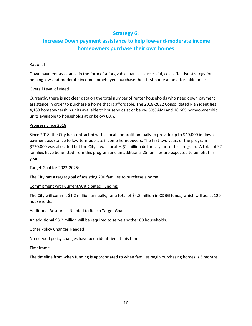## **Strategy 6:**

## <span id="page-15-0"></span>**Increase Down payment assistance to help low-and-moderate income homeowners purchase their own homes**

#### Rational

Down payment assistance in the form of a forgivable loan is a successful, cost-effective strategy for helping low-and-moderate income homebuyers purchase their first home at an affordable price.

#### Overall Level of Need

Currently, there is not clear data on the total number of renter households who need down payment assistance in order to purchase a home that is affordable. The 2018-2022 Consolidated Plan identifies 4,160 homeownership units available to households at or below 50% AMI and 16,665 homeownership units available to households at or below 80%.

#### Progress Since 2018

Since 2018, the City has contracted with a local nonprofit annually to provide up to \$40,000 in down payment assistance to low-to-moderate income homebuyers. The first two years of the program \$720,000 was allocated but the City now allocates \$1 million dollars a year to this program. A total of 92 families have benefitted from this program and an additional 25 families are expected to benefit this year.

#### Target Goal for 2022-2025:

The City has a target goal of assisting 200 families to purchase a home.

#### Commitment with Current/Anticipated Funding:

The City will commit \$1.2 million annually, for a total of \$4.8 million in CDBG funds, which will assist 120 households.

#### Additional Resources Needed to Reach Target Goal

An additional \$3.2 million will be required to serve another 80 households.

#### Other Policy Changes Needed

No needed policy changes have been identified at this time.

#### Timeframe

The timeline from when funding is appropriated to when families begin purchasing homes is 3 months.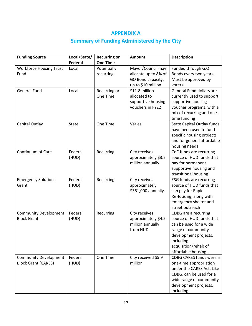## **APPENDIX A**

## **Summary of Funding Administered by the City**

<span id="page-16-0"></span>

| <b>Funding Source</b>                                      | Local/State/<br><b>Federal</b> | <b>Recurring or</b><br><b>One Time</b> | <b>Amount</b>                                                                        | <b>Description</b>                                                                                                                                                                    |
|------------------------------------------------------------|--------------------------------|----------------------------------------|--------------------------------------------------------------------------------------|---------------------------------------------------------------------------------------------------------------------------------------------------------------------------------------|
| <b>Workforce Housing Trust</b><br>Fund                     | Local                          | Potentially<br>recurring               | Mayor/Council may<br>allocate up to 8% of<br>GO Bond capacity,<br>up to \$10 million | Funded through G.O<br>Bonds every two years.<br>Must be approved by<br>voters.                                                                                                        |
| <b>General Fund</b>                                        | Local                          | Recurring or<br>One Time               | \$11.8 million<br>allocated to<br>supportive housing<br>vouchers in FY22             | General Fund dollars are<br>currently used to support<br>supportive housing<br>voucher programs, with a<br>mix of recurring and one-<br>time funding                                  |
| Capital Outlay                                             | <b>State</b>                   | One Time                               | Varies                                                                               | <b>State Capital Outlay funds</b><br>have been used to fund<br>specific housing projects<br>and for general affordable<br>housing needs                                               |
| Continuum of Care                                          | Federal<br>(HUD)               | Recurring                              | City receives<br>approximately \$3.2<br>million annually                             | CoC funds are recurring<br>source of HUD funds that<br>pay for permanent<br>supportive housing and<br>transitional housing                                                            |
| <b>Emergency Solutions</b><br>Grant                        | Federal<br>(HUD)               | Recurring                              | City receives<br>approximately<br>\$361,000 annually.                                | <b>ESG funds are recurring</b><br>source of HUD funds that<br>can pay for Rapid<br>ReHousing, along with<br>emergency shelter and<br>street outreach                                  |
| <b>Community Development</b><br><b>Block Grant</b>         | Federal<br>(HUD)               | Recurring                              | City receives<br>approximately \$4.5<br>million annually<br>from HUD                 | CDBG are a recurring<br>source of HUD funds that<br>can be used for a wide<br>range of community<br>development projects,<br>including<br>acquisition/rehab of<br>affordable housing. |
| <b>Community Development</b><br><b>Block Grant (CARES)</b> | Federal<br>(HUD)               | One Time                               | City received \$5.9<br>million                                                       | CDBG CARES funds were a<br>one-time appropriation<br>under the CARES Act. Like<br>CDBG, can be used for a<br>wide range of community<br>development projects,<br>including            |